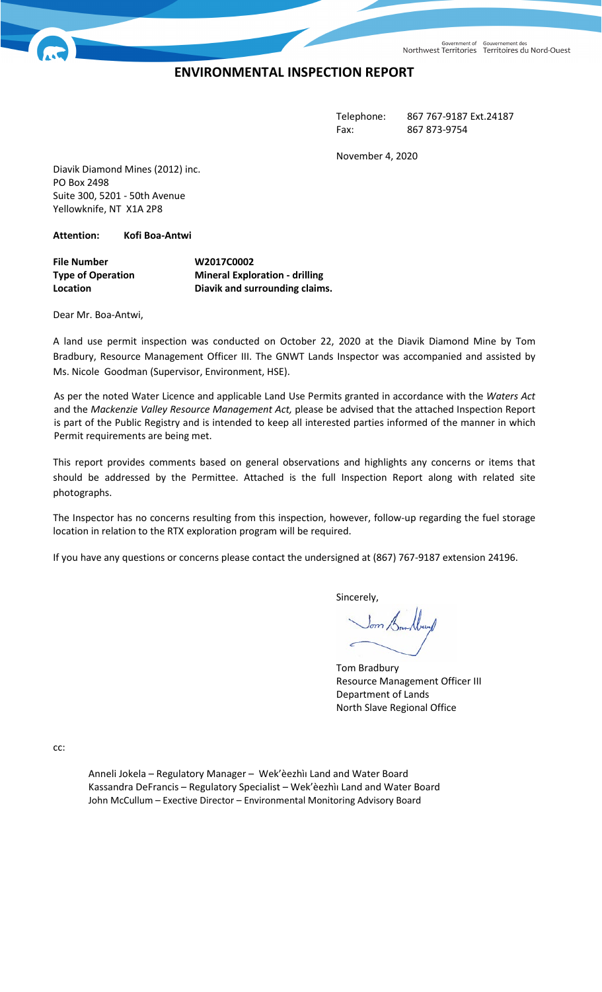Government of Gouvernement des<br>Northwest Territories Territoires du Nord-Ouest

## **ENVIRONMENTAL INSPECTION REPORT**

Telephone: 867 767-9187 Ext.24187 Fax: 867 873-9754

November 4, 2020

Diavik Diamond Mines (2012) inc. PO Box 2498 Suite 300, 5201 - 50th Avenue Yellowknife, NT X1A 2P8

**Attention: Kofi Boa-Antwi**

**File Number W2017C0002 Type of Operation Mineral Exploration - drilling Location Diavik and surrounding claims.**

Dear Mr. Boa-Antwi,

A land use permit inspection was conducted on October 22, 2020 at the Diavik Diamond Mine by Tom Bradbury, Resource Management Officer III. The GNWT Lands Inspector was accompanied and assisted by Ms. Nicole Goodman (Supervisor, Environment, HSE).

As per the noted Water Licence and applicable Land Use Permits granted in accordance with the *Waters Act*  and the *Mackenzie Valley Resource Management Act,* please be advised that the attached Inspection Report is part of the Public Registry and is intended to keep all interested parties informed of the manner in which Permit requirements are being met.

This report provides comments based on general observations and highlights any concerns or items that should be addressed by the Permittee. Attached is the full Inspection Report along with related site photographs.

The Inspector has no concerns resulting from this inspection, however, follow-up regarding the fuel storage location in relation to the RTX exploration program will be required.

If you have any questions or concerns please contact the undersigned at (867) 767-9187 extension 24196.

Sincerely,

Tom Bradbury Resource Management Officer III Department of Lands North Slave Regional Office

cc:

Anneli Jokela – Regulatory Manager – Wek'èezhìı Land and Water Board Kassandra DeFrancis – Regulatory Specialist – Wek'èezhìı Land and Water Board John McCullum – Exective Director – Environmental Monitoring Advisory Board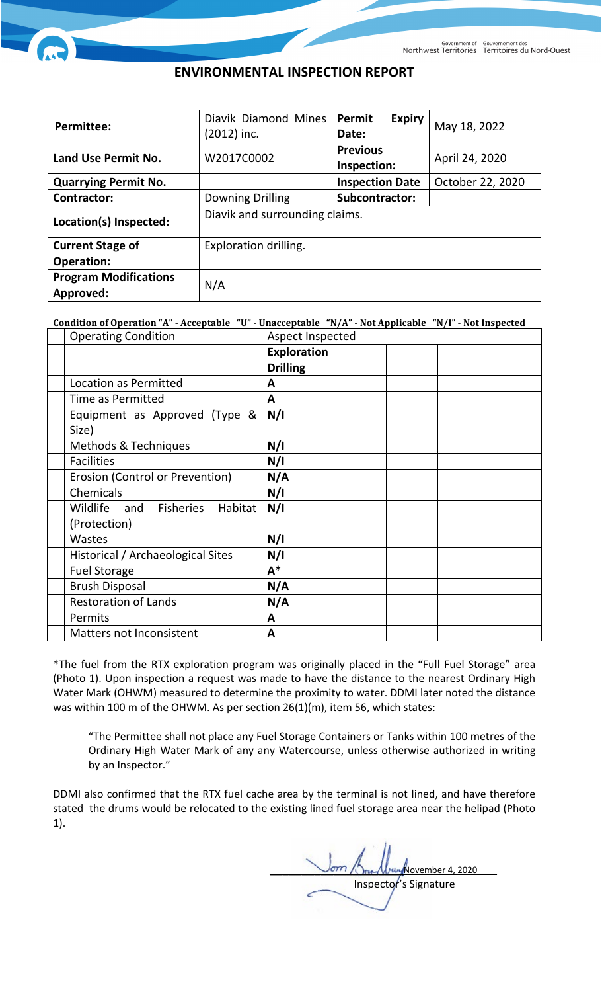## **ENVIRONMENTAL INSPECTION REPORT**

| <b>Permittee:</b>                         | Diavik Diamond Mines<br>(2012) inc. | Permit<br><b>Expiry</b><br>Date: | May 18, 2022     |  |
|-------------------------------------------|-------------------------------------|----------------------------------|------------------|--|
| Land Use Permit No.                       | W2017C0002                          | <b>Previous</b><br>Inspection:   | April 24, 2020   |  |
| <b>Quarrying Permit No.</b>               |                                     | <b>Inspection Date</b>           | October 22, 2020 |  |
| <b>Contractor:</b>                        | <b>Downing Drilling</b>             | Subcontractor:                   |                  |  |
| Location(s) Inspected:                    | Diavik and surrounding claims.      |                                  |                  |  |
| <b>Current Stage of</b>                   | Exploration drilling.               |                                  |                  |  |
| <b>Operation:</b>                         |                                     |                                  |                  |  |
| <b>Program Modifications</b><br>Approved: | N/A                                 |                                  |                  |  |

## **Condition of Operation "A" - Acceptable "U" - Unacceptable "N/A" - Not Applicable "N/I" - Not Inspected**

| <b>Operating Condition</b>        | Aspect Inspected   |  |  |  |
|-----------------------------------|--------------------|--|--|--|
|                                   | <b>Exploration</b> |  |  |  |
|                                   | <b>Drilling</b>    |  |  |  |
| Location as Permitted             | A                  |  |  |  |
| Time as Permitted                 | A                  |  |  |  |
| Equipment as Approved (Type &     | N/I                |  |  |  |
| Size)                             |                    |  |  |  |
| Methods & Techniques              | N/I                |  |  |  |
| <b>Facilities</b>                 | N/I                |  |  |  |
| Erosion (Control or Prevention)   | N/A                |  |  |  |
| Chemicals                         | N/I                |  |  |  |
| Wildlife and Fisheries<br>Habitat | N/I                |  |  |  |
| (Protection)                      |                    |  |  |  |
| Wastes                            | N/I                |  |  |  |
| Historical / Archaeological Sites | N/I                |  |  |  |
| <b>Fuel Storage</b>               | $A^*$              |  |  |  |
| <b>Brush Disposal</b>             | N/A                |  |  |  |
| <b>Restoration of Lands</b>       | N/A                |  |  |  |
| Permits                           | A                  |  |  |  |
| Matters not Inconsistent          | A                  |  |  |  |

\*The fuel from the RTX exploration program was originally placed in the "Full Fuel Storage" area (Photo 1). Upon inspection a request was made to have the distance to the nearest Ordinary High Water Mark (OHWM) measured to determine the proximity to water. DDMI later noted the distance was within 100 m of the OHWM. As per section 26(1)(m), item 56, which states:

"The Permittee shall not place any Fuel Storage Containers or Tanks within 100 metres of the Ordinary High Water Mark of any any Watercourse, unless otherwise authorized in writing by an Inspector."

DDMI also confirmed that the RTX fuel cache area by the terminal is not lined, and have therefore stated the drums would be relocated to the existing lined fuel storage area near the helipad (Photo 1).

 $\sqrt{N}$ ovember 4, 2020 Inspector's Signature